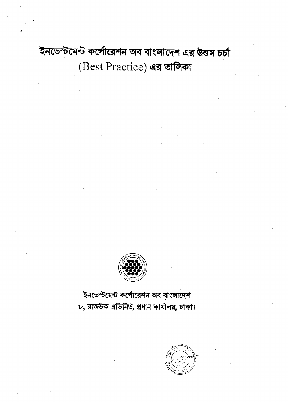ইনভেস্টমেন্ট কর্পোরেশন অব বাংলাদেশ এর উত্তম চর্চা (Best Practice) এর তালিকা



ইনভেস্টমেন্ট কর্পোরেশন অব বাংলাদেশ ৮, রাজউক এভিনিউ, প্রধান কার্যালয়, ঢাকা।

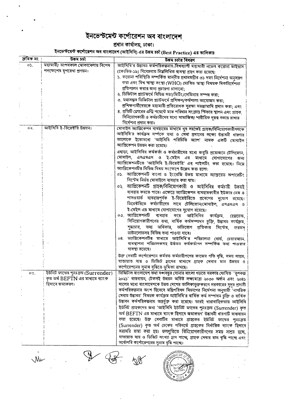## ইনভেস্টমেন্ট কর্পোরেশন অব বাংলাদেশ

## প্রধান কার্যালয়, ঢাকা।<br>ইনভেস্টমেন্ট কর্পোরেশন অব বাংলাদেশ (আইসিবি) এর উত্তম চর্চা (Best Practice) এর তালিকাঃ

| ক্ৰমিক নং | টৰম চৰ্চা                           | উত্তম চৰ্চার বিবরণ                                                                                                                              |
|-----------|-------------------------------------|-------------------------------------------------------------------------------------------------------------------------------------------------|
| 05.       | মহামারী/ আপদকাল মোকাবেলায় বিশেষ    | আইসিবি'র উদ্ভাবন কর্মপরিকল্পনায়,বিশ্বব্যাপী মহামারী নভেল করোনা ভাইরাস                                                                          |
|           | পদক্ষেপের রুপরেখা প্রণয়ন।          | (কোভিড-১৯) বিবেচনায় নিয়লিখিত ব্যবস্থা গ্রহণ করা হয়েছে:                                                                                       |
|           |                                     | ১. করোনা পরিস্থিতি সম্পর্কিত মান্নীয় প্রধানমন্ত্রীর ৩১ দফা নির্দেশনা অনুসরণ                                                                    |
|           |                                     | করা এবং বিশ্ব স্বাস্থ্য সংস্থা (WHO) ঘোষিত স্বাস্থ্য বিষয়ক দিকনির্দেশনা                                                                        |
|           |                                     | প্রতিপালন করার জন্য প্রচারণা চালানো;                                                                                                            |
|           |                                     | ২. ডিজিটাল প্ল্যাটফর্মে বিভিন্ন সভা/মিটিং/সেমিনার সম্পন্ন করা;                                                                                  |
|           |                                     | ৩. যথাসম্ভব ডিজিটাল প্ল্যাটফর্মে প্রশিক্ষণ/কর্মশালা আয়োজন করা;                                                                                 |
|           |                                     | প্রশিক্ষণার্থীদেরকে মহামারী প্রতিরোধক সুরক্ষা সরঞ্জামাদি প্রদান করা; এবং                                                                        |
|           |                                     | ৪. প্রতিটি ক্লোরের এন্ট্রি পয়েন্টে মাস্ক পরিধান সংক্রান্ত স্টিকার স্থাপন এবং গ্রাহক,                                                           |
|           |                                     | বিনিয়োগকারী ও কর্মচারীদের মধ্যে সামাজিক/ শারীরিক দূরত বজায় রাখার                                                                              |
|           |                                     | নির্দেশনা প্রদান করা।                                                                                                                           |
| 02.       | আইসিবি ই-ডিরেক্টরি উন্নয়ন।         | মোবাইল অ্যাপ্লিকেশন ব্যবহারের মাধ্যমে খুব সহজেই গ্রাহক/বিনিয়োগকারীগণকে                                                                         |
|           |                                     | আইসিবি'র কার্যক্রম সর্ম্পকে তথ্য ও সেবা প্রদানের লক্ষ্যে উদ্ভাবনী ধারণার                                                                        |
|           |                                     | আলোকে ইতোমধ্যে 'আইসিবি পরিচিতি অ্যাপ' নামক একটি মোবাইল                                                                                          |
|           |                                     | আপ্লিকেশন উন্নয়ন করা হয়েছে।                                                                                                                   |
|           |                                     | এছাড়া, আইসিবির কর্মকর্তা ও কর্মচারীদের মধ্যে জরুরি প্রয়োজনে টেলিফোন,                                                                          |
|           |                                     | মোবাইল, এসএমএস ও ই-মেইল এর মাধ্যমে যোগাযোগের জন্য                                                                                               |
|           |                                     | অ্যাপ্লিকেশনটিতে 'আইসিবি ই-ডিরেক্টরি' এর পাইলটিং করা হয়েছে। নিয়ে                                                                              |
|           |                                     | আপ্লিকেশনটির বিভিন্ন বিষয় সংক্ষেপে উল্লেখ করা হলো:                                                                                             |
|           |                                     | ০১. অ্যাপ্লিকেশনটি বাংলা ও ইংরেজি উভয় মাধ্যমে অ্যান্ডয়েড অপারেটিং                                                                             |
|           |                                     | সিস্টেম নির্ভর মোবাইলে ব্যবহার করা যায়।                                                                                                        |
|           |                                     | ০২. অ্যাপ্লিকেশনটি গ্রাহক/বিনিয়োগকারী ও আইসিবির কর্মচারী উভয়ই                                                                                 |
|           |                                     | ব্যবহার করতে পারে। এক্ষেত্রে অ্যাপ্লিকেশন ব্যবহারকারীর ইউজার নেম ও                                                                              |
|           |                                     | পাসওয়ার্ড ব্যবহারপূর্বক ই-ডিরেক্টরিতে প্রবেশের সুযোগ রয়েছে।                                                                                   |
|           |                                     | ডিরেক্টরিতে কর্মচারীদের সাথে টেলিফোন/মোবাইল, এসএমএস ও                                                                                           |
|           |                                     | ই-মেইল এর মাধ্যমে যোগাযোগের সুযোগ রয়েছে।                                                                                                       |
|           |                                     | ০৩. অ্যাপ্লিকেশনটি<br>ব্যবহার<br>আইসিবির কার্যক্রম,<br>করে<br>হেল্লডেস্ক,                                                                       |
|           |                                     | বিনিয়োগকারীগণের তথ্য, বার্ষিক কর্মসম্পাদন চুক্তি, উদ্ভাবন কার্যক্রম,                                                                           |
|           |                                     | শূন্ধাচার, তথ্য অধিকার, অভিযোগ প্রতিকার সিস্টেম,<br>ফরমস                                                                                        |
|           |                                     | ডাউনলোডসহ বিভিন্ন তথ্য পাওয়া যাবে।                                                                                                             |
|           |                                     | ০৪. অ্যাপ্লিকেশনটির মাধ্যমে আইসিবি'র পরিচালনা বোর্ড, চেয়ারম্যান,<br>ব্যবস্থাপনা পরিচালকসহ উর্দ্ধতন কর্মকর্তাগণ সম্পর্কিত তথ্য পাওয়ার          |
|           |                                     | ব্যবস্থা রয়েছে।                                                                                                                                |
|           |                                     |                                                                                                                                                 |
|           |                                     | উক্ত সেবাটি কর্পোরেশনে কর্মরত কর্মচারীগণের কাজের গতি বৃদ্ধি, সময় সাশ্রয়,<br>যাতায়াত ব্যয় ও ভিজিট হ্রাসের মাধ্যমে গ্রাহক সেবার মান উন্নয়ন ও |
|           |                                     | কর্পোরেশনের সুনাম বৃদ্ধিতে ভূমিকা রাখছে।                                                                                                        |
| O.S.      | ইউনিট ফান্ডের পুনঃক্রয় (Surrender) | ডিজিটাল বাংলাদেশ তথা বঙ্গবন্ধুর সোনার বাংলা গড়তে সরকার ঘোষিত 'রূপকল্প                                                                          |
|           | কৃত অৰ্থ BEFTN এর মাধ্যমে ব্যাংক    | ২০২১' বাস্তবায়ন, টেকসই উন্নয়ন অভিষ্ট লক্ষ্যমাত্ৰা ২০৩০ অৰ্জন এবং ২০৪১                                                                         |
|           | হিসাবে জমাকরণ।                      | সালের মধ্যে বাংলাদেশকে উন্নত দেশের তালিকাভুক্তকরণে সরকারের সুদূর প্রসারী                                                                        |
|           |                                     | কর্মপরিকল্পনার অংশ হিসেবে মন্ত্রিপরিষদ বিভাগের নির্দেশনা অনুযায়ী 'নাগরিক                                                                       |
|           |                                     | সেবায় উদ্ভাবন' বিষয়ক কার্যক্রম আইসিবি'র বার্ষিক কর্ম সম্পাদন চুক্তি ও বার্ষিক                                                                 |
|           |                                     | উদ্ভাবন কর্মপরিকল্পনায় অন্তর্ভুক্ত করা হয়েছে। তারই ধারাবাহিকতায় আইসিবি                                                                       |
|           |                                     | ইউনিট গ্রাহকদের জন্য 'আইসিবি ইউনিট ফান্ডের পুনঃক্রয় (Surrender) কৃত                                                                            |
|           |                                     | অর্থ BEFTN এর মাধ্যমে ব্যাংক হিসাবে জমাকরণ' উদ্ভাবনী ধারণাটি বাস্তবায়ন                                                                         |
|           |                                     | করা হয়েছে। উক্ত সেবাটির মাধ্যমে গ্রাহকের ইউনিট ফান্ডের পুনঃক্রয়                                                                               |
|           |                                     | (Surrender) কৃত অর্থ চেকের পরিবর্তে গ্রাহকের নির্ধারিত ব্যাংক হিসাবে                                                                            |
|           |                                     | সরাসরি জমা করা হয়। ফলশুতিতে বিনিয়োগকারীগণের সময় সাশ্রয় হচ্ছে                                                                                |
|           |                                     | যাতায়াত ব্যয় ও ভিজিট সংখ্যা হ্রাস পাছে, গ্রাহক সেবার মান বৃদ্ধি পাচ্ছে এবং                                                                    |
|           |                                     | সর্বোপরি কর্পোরেশনের সুনাম বৃদ্ধি পাচ্ছে।                                                                                                       |
|           |                                     |                                                                                                                                                 |

 $\begin{picture}(60,6) \put(0,0){\vector(0,1){30}} \put(15,0){\vector(0,1){30}} \put(15,0){\vector(0,1){30}} \put(15,0){\vector(0,1){30}} \put(15,0){\vector(0,1){30}} \put(15,0){\vector(0,1){30}} \put(15,0){\vector(0,1){30}} \put(15,0){\vector(0,1){30}} \put(15,0){\vector(0,1){30}} \put(15,0){\vector(0,1){30}} \put(15,0){\vector(0,1){30}} \put(15,0){\vector(0,$ **M**u